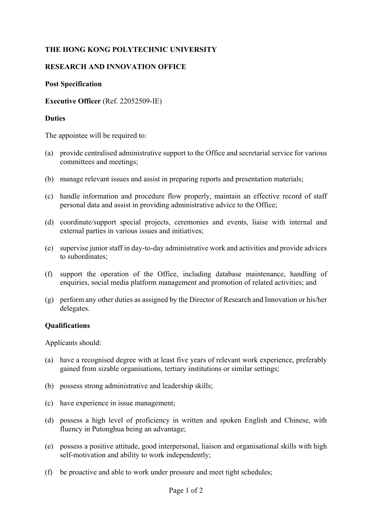# **THE HONG KONG POLYTECHNIC UNIVERSITY**

## **RESEARCH AND INNOVATION OFFICE**

#### **Post Specification**

#### **Executive Officer** (Ref. 22052509-IE)

#### **Duties**

The appointee will be required to:

- (a) provide centralised administrative support to the Office and secretarial service for various committees and meetings;
- (b) manage relevant issues and assist in preparing reports and presentation materials;
- (c) handle information and procedure flow properly, maintain an effective record of staff personal data and assist in providing administrative advice to the Office;
- (d) coordinate/support special projects, ceremonies and events, liaise with internal and external parties in various issues and initiatives;
- (e) supervise junior staff in day-to-day administrative work and activities and provide advices to subordinates;
- (f) support the operation of the Office, including database maintenance, handling of enquiries, social media platform management and promotion of related activities; and
- (g) perform any other duties as assigned by the Director of Research and Innovation or his/her delegates.

#### **Qualifications**

Applicants should:

- (a) have a recognised degree with at least five years of relevant work experience, preferably gained from sizable organisations, tertiary institutions or similar settings;
- (b) possess strong administrative and leadership skills;
- (c) have experience in issue management;
- (d) possess a high level of proficiency in written and spoken English and Chinese, with fluency in Putonghua being an advantage;
- (e) possess a positive attitude, good interpersonal, liaison and organisational skills with high self-motivation and ability to work independently;
- (f) be proactive and able to work under pressure and meet tight schedules;